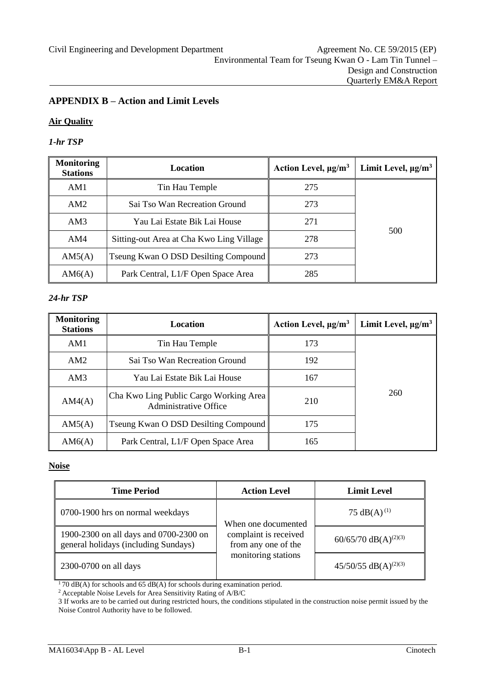# **APPENDIX B – Action and Limit Levels**

## **Air Quality**

## *1-hr TSP*

| <b>Monitoring</b><br><b>Stations</b> | <b>Location</b>                          | Action Level, $\mu g/m^3$ | Limit Level, $\mu$ g/m <sup>3</sup> |
|--------------------------------------|------------------------------------------|---------------------------|-------------------------------------|
| AM1                                  | Tin Hau Temple                           | 275                       |                                     |
| AM2                                  | Sai Tso Wan Recreation Ground            | 273                       |                                     |
| AM3                                  | Yau Lai Estate Bik Lai House             | 271                       |                                     |
| AM4                                  | Sitting-out Area at Cha Kwo Ling Village | 278                       | 500                                 |
| AM5(A)                               | Tseung Kwan O DSD Desilting Compound     | 273                       |                                     |
| AM6(A)                               | Park Central, L1/F Open Space Area       | 285                       |                                     |

#### *24-hr TSP*

| <b>Monitoring</b><br><b>Stations</b> | Location                                                               | Action Level, $\mu g/m^3$ | Limit Level, $\mu$ g/m <sup>3</sup> |
|--------------------------------------|------------------------------------------------------------------------|---------------------------|-------------------------------------|
| AM1                                  | Tin Hau Temple                                                         | 173                       |                                     |
| AM2                                  | Sai Tso Wan Recreation Ground                                          | 192                       |                                     |
| AM3                                  | Yau Lai Estate Bik Lai House                                           | 167                       |                                     |
| AM4(A)                               | Cha Kwo Ling Public Cargo Working Area<br><b>Administrative Office</b> | 210                       | 260                                 |
| AM5(A)                               | <b>Theory Edge Theory School</b> Tseung Kwan O DSD Desilting Compound  | 175                       |                                     |
| AM6(A)                               | Park Central, L1/F Open Space Area                                     | 165                       |                                     |

#### **Noise**

| <b>Time Period</b>                                                             | <b>Action Level</b>                          | <b>Limit Level</b>               |
|--------------------------------------------------------------------------------|----------------------------------------------|----------------------------------|
| 0700-1900 hrs on normal weekdays                                               | When one documented                          | 75 dB(A) <sup>(1)</sup>          |
| 1900-2300 on all days and 0700-2300 on<br>general holidays (including Sundays) | complaint is received<br>from any one of the | 60/65/70 dB(A) <sup>(2)(3)</sup> |
| 2300-0700 on all days                                                          | monitoring stations                          | 45/50/55 dB(A) <sup>(2)(3)</sup> |

 $170$  dB(A) for schools and 65 dB(A) for schools during examination period.

<sup>2</sup>Acceptable Noise Levels for Area Sensitivity Rating of A/B/C

<sup>3</sup> If works are to be carried out during restricted hours, the conditions stipulated in the construction noise permit issued by the Noise Control Authority have to be followed.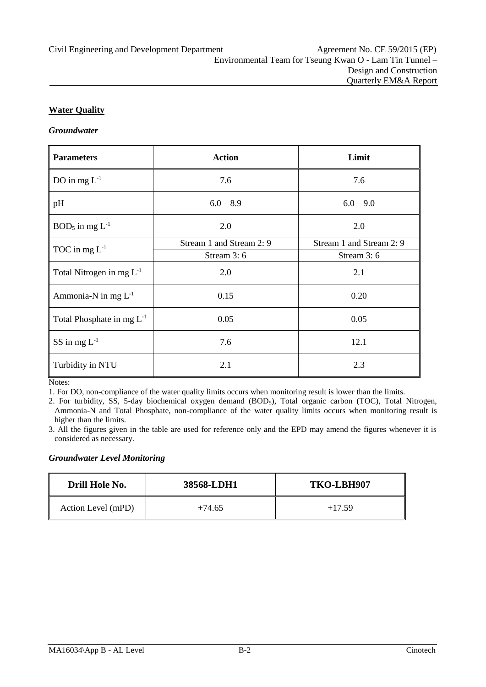## **Water Quality**

#### *Groundwater*

| <b>Parameters</b>               | <b>Action</b>            | Limit                    |
|---------------------------------|--------------------------|--------------------------|
| DO in mg $L^{-1}$               | 7.6                      | 7.6                      |
| pH                              | $6.0 - 8.9$              | $6.0 - 9.0$              |
| $BOD5$ in mg $L-1$              | 2.0                      | 2.0                      |
|                                 | Stream 1 and Stream 2: 9 | Stream 1 and Stream 2: 9 |
| TOC in $mg L^{-1}$              | Stream 3:6               | Stream 3:6               |
| Total Nitrogen in mg $L^{-1}$   | 2.0                      | 2.1                      |
| Ammonia-N in mg L <sup>-1</sup> | 0.15                     | 0.20                     |
| Total Phosphate in mg $L^{-1}$  | 0.05                     | 0.05                     |
| $SS$ in mg $L^{-1}$             | 7.6                      | 12.1                     |
| Turbidity in NTU                | 2.1                      | 2.3                      |

Notes:

1. For DO, non-compliance of the water quality limits occurs when monitoring result is lower than the limits.

2. For turbidity, SS, 5-day biochemical oxygen demand (BOD5), Total organic carbon (TOC), Total Nitrogen, Ammonia-N and Total Phosphate, non-compliance of the water quality limits occurs when monitoring result is higher than the limits.

3. All the figures given in the table are used for reference only and the EPD may amend the figures whenever it is considered as necessary.

## *Groundwater Level Monitoring*

| Drill Hole No.     | 38568-LDH1 | TKO-LBH907 |
|--------------------|------------|------------|
| Action Level (mPD) | $+74.65$   | $+17.59$   |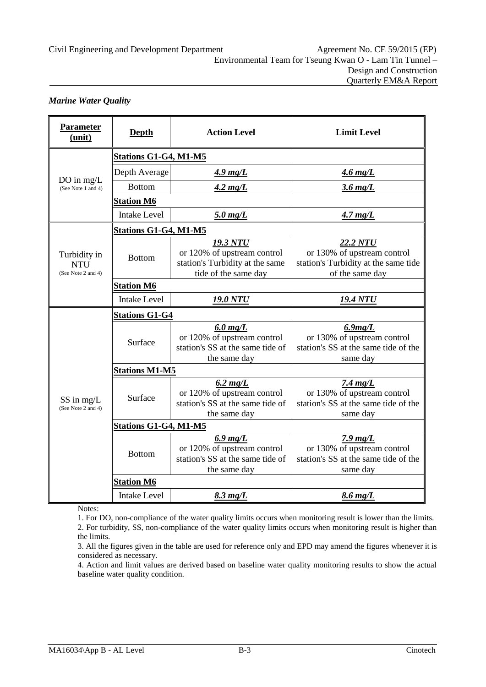#### *Marine Water Quality*

| <b>Parameter</b><br>(unit)                       | <b>Depth</b>                 | <b>Action Level</b>                                                                                       | <b>Limit Level</b>                                                                                    |
|--------------------------------------------------|------------------------------|-----------------------------------------------------------------------------------------------------------|-------------------------------------------------------------------------------------------------------|
|                                                  | <b>Stations G1-G4, M1-M5</b> |                                                                                                           |                                                                                                       |
|                                                  | Depth Average                | $4.9$ mg/L                                                                                                | $4.6$ mg/L                                                                                            |
| DO in mg/L<br>(See Note $1$ and $4$ )            | <b>Bottom</b>                | $4.2$ mg/L                                                                                                | $3.6$ mg/L                                                                                            |
|                                                  | <b>Station M6</b>            |                                                                                                           |                                                                                                       |
|                                                  | <b>Intake Level</b>          | $5.0$ mg/L                                                                                                | $4.7$ mg/L                                                                                            |
|                                                  | <b>Stations G1-G4, M1-M5</b> |                                                                                                           |                                                                                                       |
| Turbidity in<br><b>NTU</b><br>(See Note 2 and 4) | <b>Bottom</b>                | <b>19.3 NTU</b><br>or 120% of upstream control<br>station's Turbidity at the same<br>tide of the same day | 22.2 NTU<br>or 130% of upstream control<br>station's Turbidity at the same tide<br>of the same day    |
|                                                  | <b>Station M6</b>            |                                                                                                           |                                                                                                       |
|                                                  | <b>Intake Level</b>          | <u><b>19.0 NTU</b></u>                                                                                    | <u> 19.4 NTU</u>                                                                                      |
| <b>Stations G1-G4</b>                            |                              |                                                                                                           |                                                                                                       |
|                                                  | Surface                      | $6.0$ mg/L<br>or 120% of upstream control<br>station's SS at the same tide of<br>the same day             | 6.9mg/L<br>or 130% of upstream control<br>station's SS at the same tide of the<br>same day            |
|                                                  | <b>Stations M1-M5</b>        |                                                                                                           |                                                                                                       |
| $SS$ in mg/L<br>(See Note 2 and 4)               | Surface                      | $6.2$ mg/L<br>or 120% of upstream control<br>station's SS at the same tide of<br>the same day             | 7.4 $mg/L$<br>or 130% of upstream control<br>station's SS at the same tide of the<br>same day         |
|                                                  | <b>Stations G1-G4, M1-M5</b> |                                                                                                           |                                                                                                       |
|                                                  | <b>Bottom</b>                | $6.9$ mg/L<br>or 120% of upstream control<br>station's SS at the same tide of<br>the same day             | $7.9 \text{ mg/L}$<br>or 130% of upstream control<br>station's SS at the same tide of the<br>same day |
|                                                  | <b>Station M6</b>            |                                                                                                           |                                                                                                       |
|                                                  | <b>Intake Level</b>          | $8.3$ mg/L                                                                                                | $8.6$ mg/L                                                                                            |

Notes:

1. For DO, non-compliance of the water quality limits occurs when monitoring result is lower than the limits.

2. For turbidity, SS, non-compliance of the water quality limits occurs when monitoring result is higher than the limits.

3. All the figures given in the table are used for reference only and EPD may amend the figures whenever it is considered as necessary.

4. Action and limit values are derived based on baseline water quality monitoring results to show the actual baseline water quality condition.